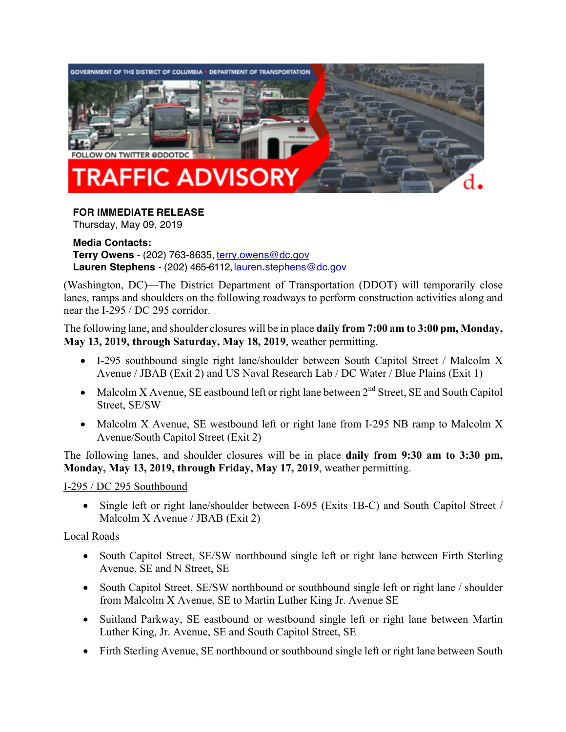

#### **FOR IMMEDIATE RELEASE**

Thursday, May 09, 2019

#### **Media Contacts: Terry Owens** - (202) 763-8635, terry.owens@dc.gov **Lauren Stephens** - (202) 465-6112, lauren.stephens@dc.gov

(Washington, DC)—The District Department of Transportation (DDOT) will temporarily close lanes, ramps and shoulders on the following roadways to perform construction activities along and near the I-295 / DC 295 corridor.

The following lane, and shoulder closures will be in place **daily from 7:00 am to 3:00 pm, Monday, May 13, 2019, through Saturday, May 18, 2019**, weather permitting.

- I-295 southbound single right lane/shoulder between South Capitol Street / Malcolm X Avenue / JBAB (Exit 2) and US Naval Research Lab / DC Water / Blue Plains (Exit 1)
- Malcolm X Avenue, SE eastbound left or right lane between  $2<sup>nd</sup>$  Street, SE and South Capitol Street, SE/SW
- Malcolm X Avenue, SE westbound left or right lane from I-295 NB ramp to Malcolm X Avenue/South Capitol Street (Exit 2)

The following lanes, and shoulder closures will be in place **daily from 9:30 am to 3:30 pm, Monday, May 13, 2019, through Friday, May 17, 2019**, weather permitting.

I-295 / DC 295 Southbound

• Single left or right lane/shoulder between I-695 (Exits 1B-C) and South Capitol Street / Malcolm X Avenue / JBAB (Exit 2)

#### Local Roads

- South Capitol Street, SE/SW northbound single left or right lane between Firth Sterling Avenue, SE and N Street, SE
- South Capitol Street, SE/SW northbound or southbound single left or right lane / shoulder from Malcolm X Avenue, SE to Martin Luther King Jr. Avenue SE
- Suitland Parkway, SE eastbound or westbound single left or right lane between Martin Luther King, Jr. Avenue, SE and South Capitol Street, SE
- Firth Sterling Avenue, SE northbound or southbound single left or right lane between South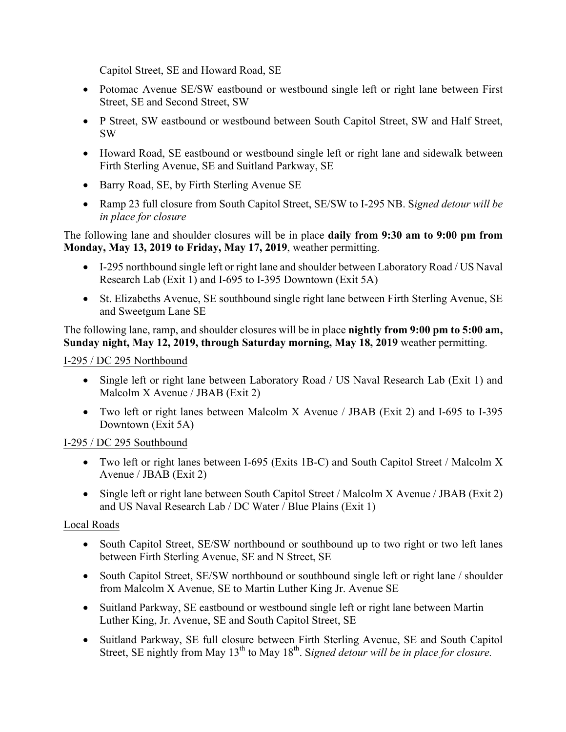Capitol Street, SE and Howard Road, SE

- Potomac Avenue SE/SW eastbound or westbound single left or right lane between First Street, SE and Second Street, SW
- P Street, SW eastbound or westbound between South Capitol Street, SW and Half Street, SW
- Howard Road, SE eastbound or westbound single left or right lane and sidewalk between Firth Sterling Avenue, SE and Suitland Parkway, SE
- Barry Road, SE, by Firth Sterling Avenue SE
- Ramp 23 full closure from South Capitol Street, SE/SW to I-295 NB. S*igned detour will be in place for closure*

The following lane and shoulder closures will be in place **daily from 9:30 am to 9:00 pm from Monday, May 13, 2019 to Friday, May 17, 2019**, weather permitting.

- I-295 northbound single left or right lane and shoulder between Laboratory Road / US Naval Research Lab (Exit 1) and I-695 to I-395 Downtown (Exit 5A)
- St. Elizabeths Avenue, SE southbound single right lane between Firth Sterling Avenue, SE and Sweetgum Lane SE

The following lane, ramp, and shoulder closures will be in place **nightly from 9:00 pm to 5:00 am, Sunday night, May 12, 2019, through Saturday morning, May 18, 2019** weather permitting.

I-295 / DC 295 Northbound

- Single left or right lane between Laboratory Road / US Naval Research Lab (Exit 1) and Malcolm X Avenue / JBAB (Exit 2)
- Two left or right lanes between Malcolm X Avenue / JBAB (Exit 2) and I-695 to I-395 Downtown (Exit 5A)

# I-295 / DC 295 Southbound

- Two left or right lanes between I-695 (Exits 1B-C) and South Capitol Street / Malcolm X Avenue / JBAB (Exit 2)
- Single left or right lane between South Capitol Street / Malcolm X Avenue / JBAB (Exit 2) and US Naval Research Lab / DC Water / Blue Plains (Exit 1)

# Local Roads

- South Capitol Street, SE/SW northbound or southbound up to two right or two left lanes between Firth Sterling Avenue, SE and N Street, SE
- South Capitol Street, SE/SW northbound or southbound single left or right lane / shoulder from Malcolm X Avenue, SE to Martin Luther King Jr. Avenue SE
- Suitland Parkway, SE eastbound or westbound single left or right lane between Martin Luther King, Jr. Avenue, SE and South Capitol Street, SE
- Suitland Parkway, SE full closure between Firth Sterling Avenue, SE and South Capitol Street, SE nightly from May 13<sup>th</sup> to May 18<sup>th</sup>. Signed detour will be in place for closure.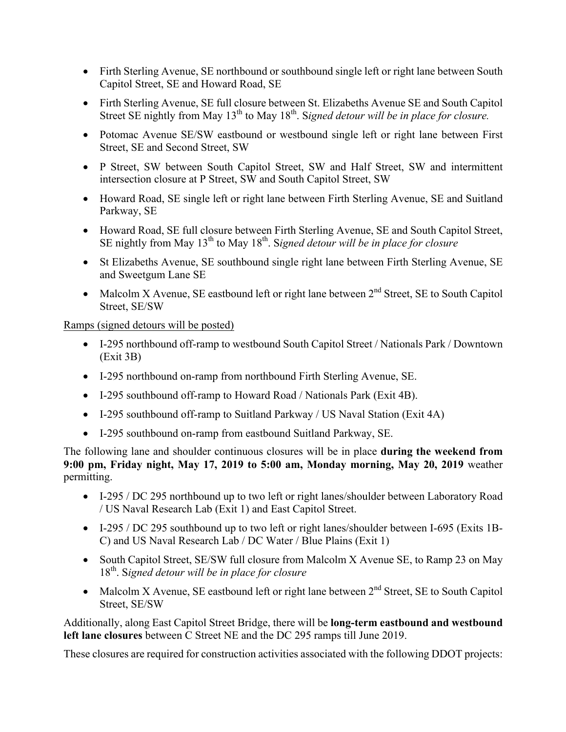- Firth Sterling Avenue, SE northbound or southbound single left or right lane between South Capitol Street, SE and Howard Road, SE
- Firth Sterling Avenue, SE full closure between St. Elizabeths Avenue SE and South Capitol Street SE nightly from May 13<sup>th</sup> to May 18<sup>th</sup>. Signed detour will be in place for closure.
- Potomac Avenue SE/SW eastbound or westbound single left or right lane between First Street, SE and Second Street, SW
- P Street, SW between South Capitol Street, SW and Half Street, SW and intermittent intersection closure at P Street, SW and South Capitol Street, SW
- Howard Road, SE single left or right lane between Firth Sterling Avenue, SE and Suitland Parkway, SE
- Howard Road, SE full closure between Firth Sterling Avenue, SE and South Capitol Street, SE nightly from May 13<sup>th</sup> to May 18<sup>th</sup>. Signed detour will be in place for closure
- St Elizabeths Avenue, SE southbound single right lane between Firth Sterling Avenue, SE and Sweetgum Lane SE
- Malcolm X Avenue, SE eastbound left or right lane between  $2<sup>nd</sup>$  Street, SE to South Capitol Street, SE/SW

#### Ramps (signed detours will be posted)

- I-295 northbound off-ramp to westbound South Capitol Street / Nationals Park / Downtown (Exit 3B)
- I-295 northbound on-ramp from northbound Firth Sterling Avenue, SE.
- I-295 southbound off-ramp to Howard Road / Nationals Park (Exit 4B).
- I-295 southbound off-ramp to Suitland Parkway / US Naval Station (Exit 4A)
- I-295 southbound on-ramp from eastbound Suitland Parkway, SE.

The following lane and shoulder continuous closures will be in place **during the weekend from 9:00 pm, Friday night, May 17, 2019 to 5:00 am, Monday morning, May 20, 2019** weather permitting.

- I-295 / DC 295 northbound up to two left or right lanes/shoulder between Laboratory Road / US Naval Research Lab (Exit 1) and East Capitol Street.
- I-295 / DC 295 southbound up to two left or right lanes/shoulder between I-695 (Exits 1B-C) and US Naval Research Lab / DC Water / Blue Plains (Exit 1)
- South Capitol Street, SE/SW full closure from Malcolm X Avenue SE, to Ramp 23 on May 18th. S*igned detour will be in place for closure*
- Malcolm X Avenue, SE eastbound left or right lane between  $2<sup>nd</sup>$  Street, SE to South Capitol Street, SE/SW

Additionally, along East Capitol Street Bridge, there will be **long-term eastbound and westbound left lane closures** between C Street NE and the DC 295 ramps till June 2019.

These closures are required for construction activities associated with the following DDOT projects: